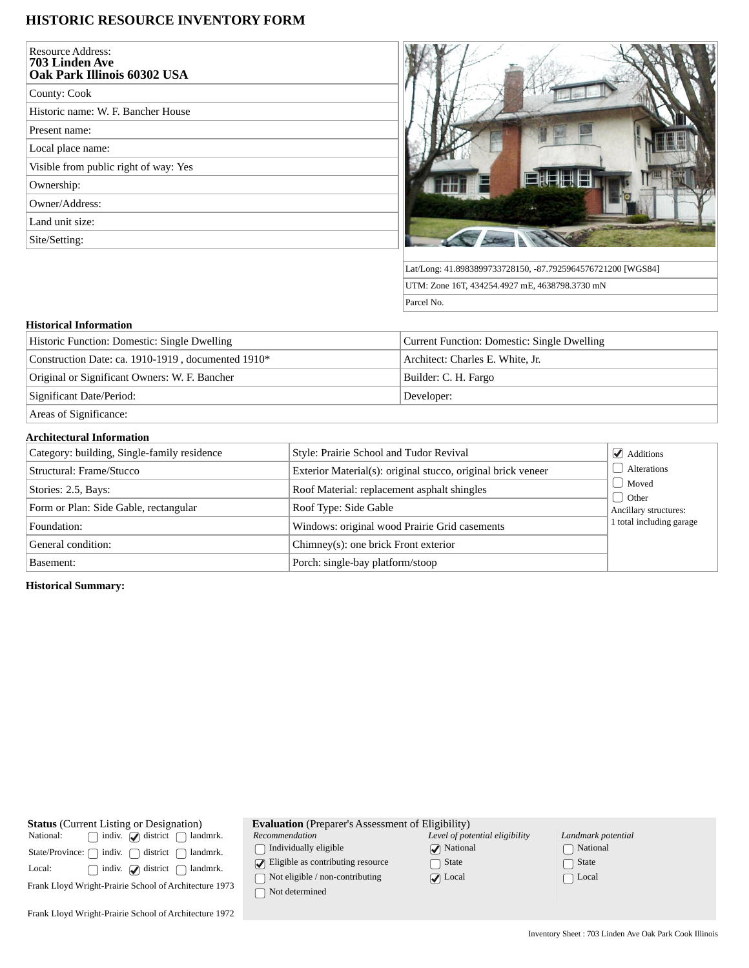## **HISTORIC RESOURCE INVENTORY FORM**

| <b>Resource Address:</b><br>703 Linden Ave<br>Oak Park Illinois 60302 USA |  |
|---------------------------------------------------------------------------|--|
| County: Cook                                                              |  |
| Historic name: W. F. Bancher House                                        |  |
| Present name:                                                             |  |
| Local place name:                                                         |  |
| Visible from public right of way: Yes                                     |  |
| Ownership:                                                                |  |
| Owner/Address:                                                            |  |
| Land unit size:                                                           |  |
| Site/Setting:                                                             |  |



Lat/Long: 41.8983899733728150, -87.7925964576721200 [WGS84] UTM: Zone 16T, 434254.4927 mE, 4638798.3730 mN Parcel No.

## **Historical Information**

| Historic Function: Domestic: Single Dwelling       | Current Function: Domestic: Single Dwelling |
|----------------------------------------------------|---------------------------------------------|
| Construction Date: ca. 1910-1919, documented 1910* | Architect: Charles E. White, Jr.            |
| Original or Significant Owners: W. F. Bancher      | Builder: C. H. Fargo                        |
| Significant Date/Period:                           | Developer:                                  |
| Areas of Significance:                             |                                             |

## **Architectural Information**

| Category: building, Single-family residence | Style: Prairie School and Tudor Revival                      | $\blacktriangleright$ Additions |
|---------------------------------------------|--------------------------------------------------------------|---------------------------------|
| Structural: Frame/Stucco                    | Exterior Material(s): original stucco, original brick veneer | Alterations                     |
| Stories: 2.5, Bays:                         | Roof Material: replacement asphalt shingles                  | Moved                           |
| Form or Plan: Side Gable, rectangular       | Roof Type: Side Gable                                        | Other<br>Ancillary structures:  |
| Foundation:                                 | Windows: original wood Prairie Grid casements                | 1 total including garage        |
| General condition:                          | Chimney(s): one brick Front exterior                         |                                 |
| Basement:                                   | Porch: single-bay platform/stoop                             |                                 |

**Historical Summary:**

| <b>Status</b> (Current Listing or Designation)         | <b>Evaluation</b> (Preparer's Assessment of Eligibility) |                                |                    |  |
|--------------------------------------------------------|----------------------------------------------------------|--------------------------------|--------------------|--|
| National:<br>indiv. $\mathcal{A}$ district<br>landmrk. | Recommendation                                           | Level of potential eligibility | Landmark potential |  |
| district<br>indiv. f<br>State/Province:<br>landmrk.    | Individually eligible                                    | $\sqrt{\phantom{a}}$ National  | National           |  |
| Local:<br>indiv. $\bigcirc$ district<br>landmrk.       | Eligible as contributing resource                        | □ State                        | State              |  |
| Frank Lloyd Wright-Prairie School of Architecture 1973 | Not eligible / non-contributing                          | $\triangledown$ Local          | $\Box$ Local       |  |
|                                                        | Not determined                                           |                                |                    |  |
| Frank Lloyd Wright-Prairie School of Architecture 1972 |                                                          |                                |                    |  |